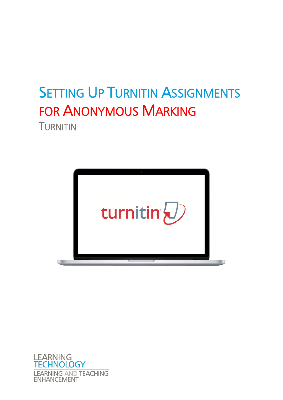# **SETTING UP TURNITIN ASSIGNMENTS** FOR ANONYMOUS MARKING TURNITIN



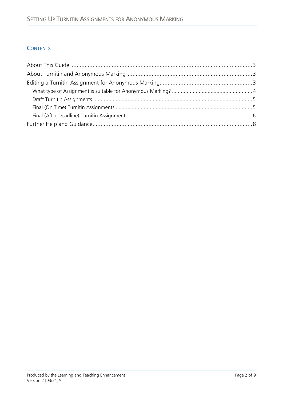### **CONTENTS**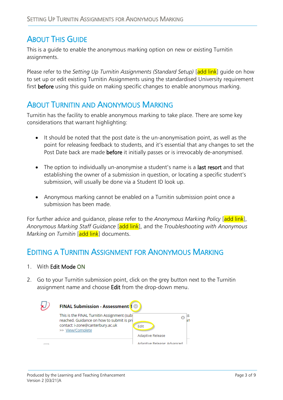# <span id="page-2-0"></span>**ABOUT THIS GUIDE**

This is a guide to enable the anonymous marking option on new or existing Turnitin assignments.

Please refer to the *Setting Up Turnitin Assignments (Standard Setup)* [add link] guide on how to set up or edit existing Turnitin Assignments using the standardised University requirement first before using this guide on making specific changes to enable anonymous marking.

# <span id="page-2-1"></span>ABOUT TURNITIN AND ANONYMOUS MARKING

Turnitin has the facility to enable anonymous marking to take place. There are some key considerations that warrant highlighting:

- It should be noted that the post date is the un-anonymisation point, as well as the point for releasing feedback to students, and it's essential that any changes to set the Post Date back are made before it initially passes or is irrevocably de-anonymised.
- The option to individually un-anonymise a student's name is a last resort and that establishing the owner of a submission in question, or locating a specific student's submission, will usually be done via a Student ID look up.
- Anonymous marking cannot be enabled on a Turnitin submission point once a submission has been made.

For further advice and guidance, please refer to the *Anonymous Marking Policy* [add link], *Anonymous Marking Staff Guidance* [add link], and the *Troubleshooting with Anonymous Marking on Turnitin* [add link] documents.

# <span id="page-2-2"></span>EDITING A TURNITIN ASSIGNMENT FOR ANONYMOUS MARKING

- 1. With Edit Mode ON
- 2. Go to your Turnitin submission point, click on the grey button next to the Turnitin assignment name and choose Edit from the drop-down menu.

| <b>FINAL Submission - Assessment 1</b>                                                   |                            |  |
|------------------------------------------------------------------------------------------|----------------------------|--|
| This is the FINAL Turnitin Assignment (sub)<br>reached. Guidance on how to submit is pro |                            |  |
| contact: i-zone@canterbury.ac.uk<br>>> View/Complete                                     | Edit                       |  |
|                                                                                          | Adaptive Release           |  |
|                                                                                          | Adaptive Release: Advanced |  |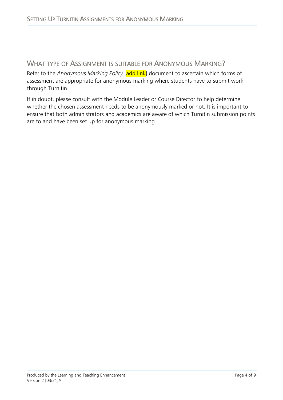## <span id="page-3-0"></span>WHAT TYPE OF ASSIGNMENT IS SUITABLE FOR ANONYMOUS MARKING?

Refer to the *Anonymous Marking Policy* [add link] document to ascertain which forms of assessment are appropriate for anonymous marking where students have to submit work through Turnitin.

If in doubt, please consult with the Module Leader or Course Director to help determine whether the chosen assessment needs to be anonymously marked or not. It is important to ensure that both administrators and academics are aware of which Turnitin submission points are to and have been set up for anonymous marking.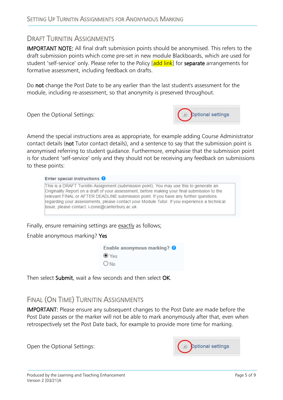### <span id="page-4-0"></span>DRAFT TURNITIN ASSIGNMENTS

IMPORTANT NOTE: All final draft submission points should be anonymised. This refers to the draft submission points which come pre-set in new module Blackboards, which are used for student 'self-service' only. Please refer to the Policy [add link] for separate arrangements for formative assessment, including feedback on drafts.

Do not change the Post Date to be any earlier than the last student's assessment for the module, including re-assessment, so that anonymity is preserved throughout.

Open the Optional Settings:



Amend the special instructions area as appropriate, for example adding Course Administrator contact details (not Tutor contact details), and a sentence to say that the submission point is anonymised referring to student guidance. Furthermore, emphasise that the submission point is for student 'self-service' only and they should not be receiving any feedback on submissions to these points:

Enter special instructions <sup>O</sup>

This is a DRAFT Turnitin Assignment (submission point). You may use this to generate an Originality Report on a draft of your assessment, before making your final submission to the relevant FINAL or AFTER DEADLINE submission point. If you have any further questions regarding your assessments, please contact your Module Tutor. If you experience a technical issue, please contact: i-zone@canterbury.ac.uk

Finally, ensure remaining settings are exactly as follows;

#### Enable anonymous marking? Yes

Enable anonymous marking? <sup>O</sup>  $\odot$  Yes  $O$ <sub>No</sub>

Then select Submit, wait a few seconds and then select OK.

## <span id="page-4-1"></span>FINAL (ON TIME) TURNITIN ASSIGNMENTS

IMPORTANT: Please ensure any subsequent changes to the Post Date are made before the Post Date passes or the marker will not be able to mark anonymously after that, even when retrospectively set the Post Date back, for example to provide more time for marking.

Open the Optional Settings:

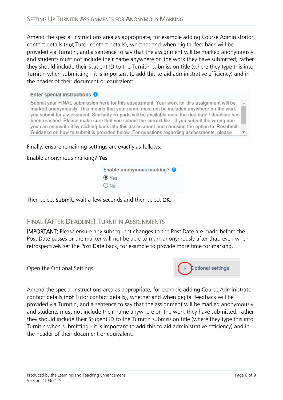Amend the special instructions area as appropriate, for example adding Course Administrator contact details (not Tutor contact details), whether and when digital feedback will be provided via Turnitin, and a sentence to say that the assignment will be marked anonymously and students must not include their name anywhere on the work they have submitted, rather they should include their Student ID to the Turnitin submission title (where they type this into Turnitin when submitting - it is important to add this to aid administrative efficiency) and in the header of their document or equivalent:

#### Enter special instructions O

Submit your FINAL submission here for this assessment. Your work for this assignment will be marked anonymously. This means that your name must not be included anywhere on the work you submit for assessment. Similarity Reports will be available once the due date / deadline has been reached. Please make sure that you submit the correct file - if you submit the wrong one you can overwrite it by clicking back into this assessment and choosing the option to 'Resubmit'. Guidance on how to submit is provided below. For questions regarding assessments, please

Finally, ensure remaining settings are exactly as follows;

Enable anonymous marking? Yes

|             | Enable anonymous marking? O |  |
|-------------|-----------------------------|--|
| $\odot$ Yes |                             |  |
| $O$ No      |                             |  |

Then select Submit, wait a few seconds and then select OK.

## <span id="page-5-0"></span>FINAL (AFTER DEADLINE) TURNITIN ASSIGNMENTS

IMPORTANT: Please ensure any subsequent changes to the Post Date are made before the Post Date passes or the marker will not be able to mark anonymously after that, even when retrospectively set the Post Date back, for example to provide more time for marking.

Open the Optional Settings:



Amend the special instructions area as appropriate, for example adding Course Administrator contact details (not Tutor contact details), whether and when digital feedback will be provided via Turnitin, and a sentence to say that the assignment will be marked anonymously and students must not include their name anywhere on the work they have submitted, rather they should include their Student ID to the Turnitin submission title (where they type this into Turnitin when submitting - it is important to add this to aid administrative efficiency) and in the header of their document or equivalent: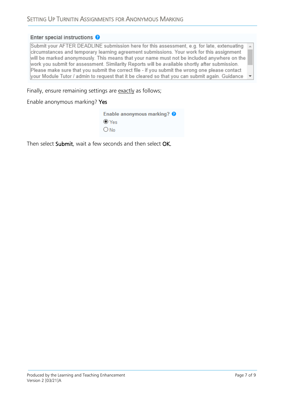#### Enter special instructions O

Submit your AFTER DEADLINE submission here for this assessment, e.g. for late, extenuating circumstances and temporary learning agreement submissions. Your work for this assignment will be marked anonymously. This means that your name must not be included anywhere on the work you submit for assessment. Similarity Reports will be available shortly after submission. Please make sure that you submit the correct file - if you submit the wrong one please contact your Module Tutor / admin to request that it be cleared so that you can submit again. Guidance

Finally, ensure remaining settings are exactly as follows;

Enable anonymous marking? Yes

| Enable anonymous marking? $\bullet$ |  |
|-------------------------------------|--|
| $\odot$ Yes                         |  |
| ONo                                 |  |

Then select Submit, wait a few seconds and then select OK.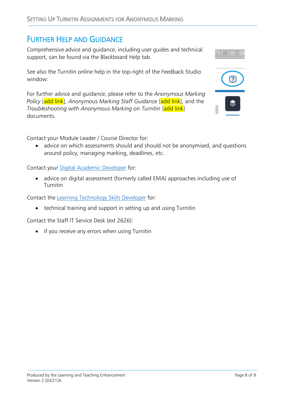## <span id="page-7-0"></span>FURTHER HELP AND GUIDANCE

Comprehensive advice and guidance, including user guides and technical support, can be found via the Blackboard Help tab.

See also the Turnitin online help in the top-right of the Feedback Studio window:

For further advice and guidance, please refer to the *Anonymous Marking Policy* [add link], *Anonymous Marking Staff Guidance* [add link], and the *Troubleshooting with Anonymous Marking on Turnitin* [add link] documents.

Contact your Module Leader / Course Director for:

• advice on which assessments should and should not be anonymised, and questions around policy, managing marking, deadlines, etc.

Contact your [Digital Academic Developer](https://cccu.canterbury.ac.uk/Project-2020-21/managing-learning-teaching-and-assessment-in-2020-21/blended-learning-support/blended-learning-resources/Support.aspx) for:

• advice on digital assessment (formerly called EMA) approaches including use of Turnitin

Contact the [Learning Technology Skills Developer](mailto:ltechskills@canterbury.ac.uk) for:

• technical training and support in setting up and using Turnitin

Contact the Staff IT Service Desk (ext 2626):

• if you receive any errors when using Turnitin